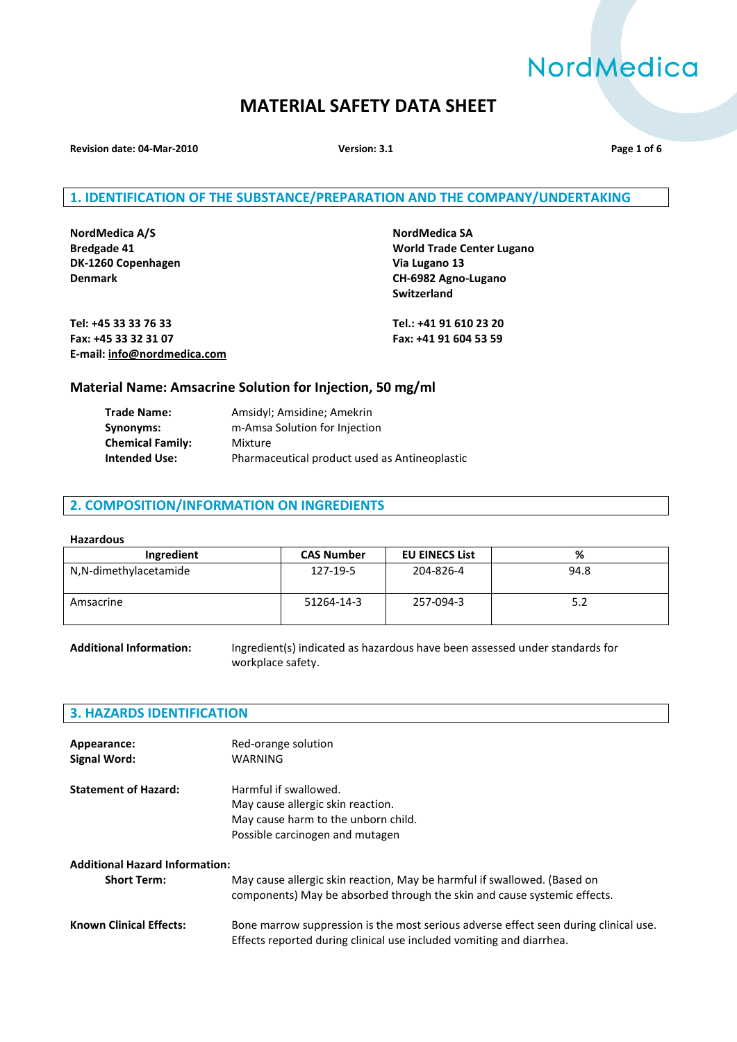# NordMedica

# **MATERIAL SAFETY DATA SHEET**

**Revision date: 04-Mar-2010 Version: 3.1 Page 1 of 6**

# **1. IDENTIFICATION OF THE SUBSTANCE/PREPARATION AND THE COMPANY/UNDERTAKING**

**NordMedica A/S NordMedica SA DK-1260 Copenhagen Via Lugano 13**

**Bredgade 41 World Trade Center Lugano Denmark CH-6982 Agno-Lugano Switzerland**

**Tel: +45 33 33 76 33 Tel.: +41 91 610 23 20 Fax: +45 33 32 31 07 Fax: +41 91 604 53 59 E-mail[: info@nordmedica.com](javascript:linkTo_UnCryptMailto()**

# **Material Name: Amsacrine Solution for Injection, 50 mg/ml**

| <b>Trade Name:</b>      | Amsidyl; Amsidine; Amekrin                    |
|-------------------------|-----------------------------------------------|
| Synonyms:               | m-Amsa Solution for Injection                 |
| <b>Chemical Family:</b> | Mixture                                       |
| <b>Intended Use:</b>    | Pharmaceutical product used as Antineoplastic |

#### **2. COMPOSITION/INFORMATION ON INGREDIENTS**

#### **Hazardous**

| Ingredient            | <b>CAS Number</b> | <b>EU EINECS List</b> | %    |
|-----------------------|-------------------|-----------------------|------|
| N,N-dimethylacetamide | 127-19-5          | 204-826-4             | 94.8 |
| Amsacrine             | 51264-14-3        | 257-094-3             | 5.2  |

**Additional Information:** Ingredient(s) indicated as hazardous have been assessed under standards for workplace safety.

# **3. HAZARDS IDENTIFICATION**

| Appearance:                 | Red-orange solution                 |
|-----------------------------|-------------------------------------|
| Signal Word:                | WARNING                             |
| <b>Statement of Hazard:</b> | Harmful if swallowed.               |
|                             | May cause allergic skin reaction.   |
|                             | May cause harm to the unborn child. |
|                             | Possible carcinogen and mutagen     |

# **Additional Hazard Information:**

| <b>Short Term:</b>             | May cause allergic skin reaction, May be harmful if swallowed. (Based on<br>components) May be absorbed through the skin and cause systemic effects.         |
|--------------------------------|--------------------------------------------------------------------------------------------------------------------------------------------------------------|
| <b>Known Clinical Effects:</b> | Bone marrow suppression is the most serious adverse effect seen during clinical use.<br>Effects reported during clinical use included vomiting and diarrhea. |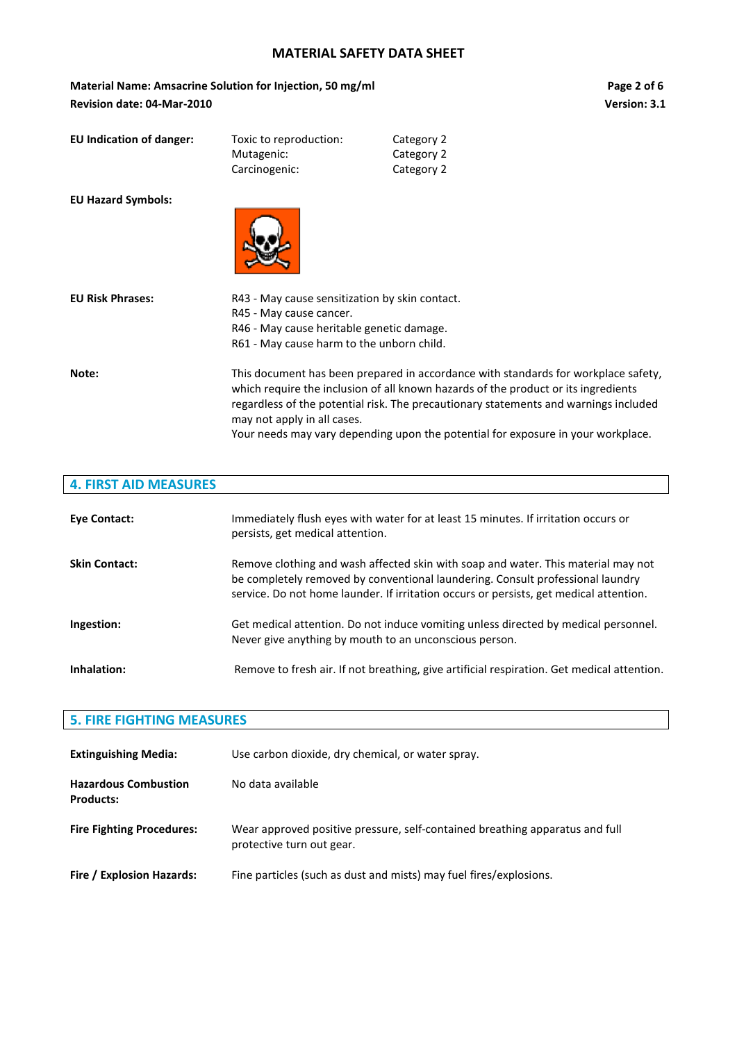Material Name: Amsacrine Solution for Injection, 50 mg/ml **Page 2** of 6 **Revision date: 04-Mar-2010 Version: 3.1**

| <b>EU Indication of danger:</b> | Toxic to reproduction:<br>Mutagenic:<br>Carcinogenic: | Category 2<br>Category 2<br>Category 2 |
|---------------------------------|-------------------------------------------------------|----------------------------------------|
| <b>EU Hazard Symbols:</b>       |                                                       |                                        |



| <b>EU Risk Phrases:</b> | R43 - May cause sensitization by skin contact.<br>R45 - May cause cancer.<br>R46 - May cause heritable genetic damage.<br>R61 - May cause harm to the unborn child.                                                                                                                                                                                                                 |
|-------------------------|-------------------------------------------------------------------------------------------------------------------------------------------------------------------------------------------------------------------------------------------------------------------------------------------------------------------------------------------------------------------------------------|
| Note:                   | This document has been prepared in accordance with standards for workplace safety,<br>which require the inclusion of all known hazards of the product or its ingredients<br>regardless of the potential risk. The precautionary statements and warnings included<br>may not apply in all cases.<br>Your needs may vary depending upon the potential for exposure in your workplace. |

# **4. FIRST AID MEASURES**

| Eye Contact:         | Immediately flush eyes with water for at least 15 minutes. If irritation occurs or<br>persists, get medical attention.                                                                                                                                        |
|----------------------|---------------------------------------------------------------------------------------------------------------------------------------------------------------------------------------------------------------------------------------------------------------|
| <b>Skin Contact:</b> | Remove clothing and wash affected skin with soap and water. This material may not<br>be completely removed by conventional laundering. Consult professional laundry<br>service. Do not home launder. If irritation occurs or persists, get medical attention. |
| Ingestion:           | Get medical attention. Do not induce vomiting unless directed by medical personnel.<br>Never give anything by mouth to an unconscious person.                                                                                                                 |
| Inhalation:          | Remove to fresh air. If not breathing, give artificial respiration. Get medical attention.                                                                                                                                                                    |

# **5. FIRE FIGHTING MEASURES**

| <b>Extinguishing Media:</b>                     | Use carbon dioxide, dry chemical, or water spray.                                                         |
|-------------------------------------------------|-----------------------------------------------------------------------------------------------------------|
| <b>Hazardous Combustion</b><br><b>Products:</b> | No data available                                                                                         |
| <b>Fire Fighting Procedures:</b>                | Wear approved positive pressure, self-contained breathing apparatus and full<br>protective turn out gear. |
| Fire / Explosion Hazards:                       | Fine particles (such as dust and mists) may fuel fires/explosions.                                        |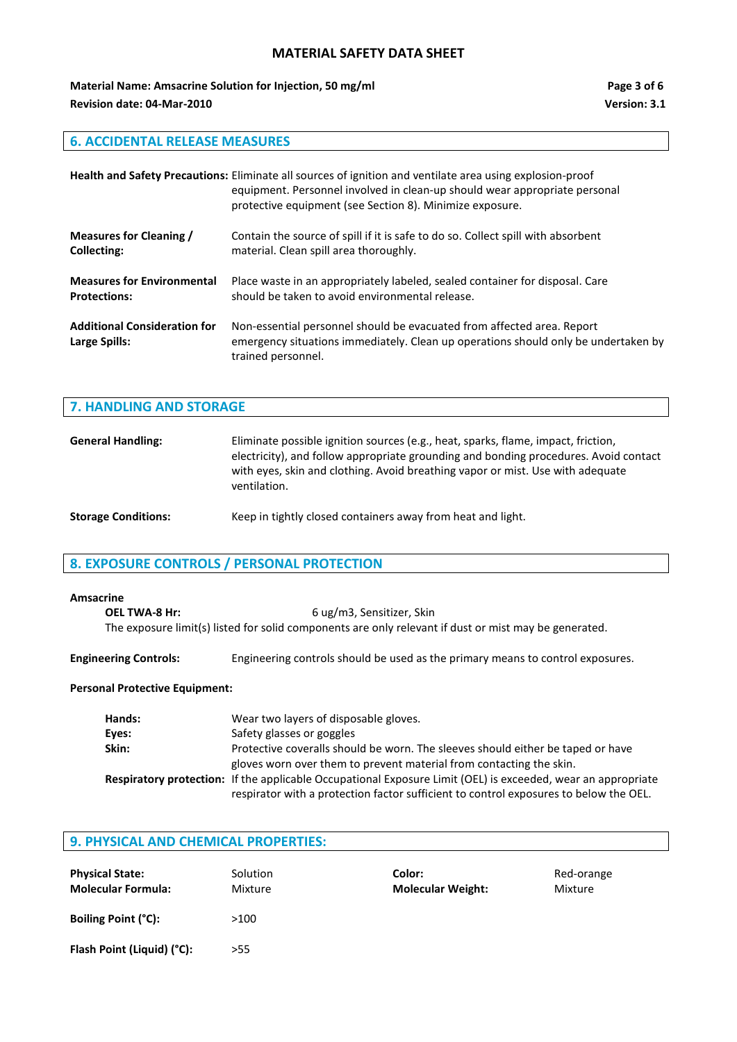**Material Name: Amsacrine Solution for Injection, 50 mg/ml Page 3 of 6** Page 3 of 6 **Revision date: 04-Mar-2010 Version: 3.1**

# **6. ACCIDENTAL RELEASE MEASURES**

|                                                      | Health and Safety Precautions: Eliminate all sources of ignition and ventilate area using explosion-proof<br>equipment. Personnel involved in clean-up should wear appropriate personal<br>protective equipment (see Section 8). Minimize exposure. |
|------------------------------------------------------|-----------------------------------------------------------------------------------------------------------------------------------------------------------------------------------------------------------------------------------------------------|
| Measures for Cleaning /                              | Contain the source of spill if it is safe to do so. Collect spill with absorbent                                                                                                                                                                    |
| Collecting:                                          | material. Clean spill area thoroughly.                                                                                                                                                                                                              |
| <b>Measures for Environmental</b>                    | Place waste in an appropriately labeled, sealed container for disposal. Care                                                                                                                                                                        |
| <b>Protections:</b>                                  | should be taken to avoid environmental release.                                                                                                                                                                                                     |
| <b>Additional Consideration for</b><br>Large Spills: | Non-essential personnel should be evacuated from affected area. Report<br>emergency situations immediately. Clean up operations should only be undertaken by<br>trained personnel.                                                                  |

#### **7. HANDLING AND STORAGE**

| <b>General Handling:</b>   | Eliminate possible ignition sources (e.g., heat, sparks, flame, impact, friction,<br>electricity), and follow appropriate grounding and bonding procedures. Avoid contact<br>with eyes, skin and clothing. Avoid breathing vapor or mist. Use with adequate<br>ventilation. |
|----------------------------|-----------------------------------------------------------------------------------------------------------------------------------------------------------------------------------------------------------------------------------------------------------------------------|
| <b>Storage Conditions:</b> | Keep in tightly closed containers away from heat and light.                                                                                                                                                                                                                 |

# **8. EXPOSURE CONTROLS / PERSONAL PROTECTION**

#### **Amsacrine**

**OEL TWA-8 Hr:** 6 ug/m3, Sensitizer, Skin The exposure limit(s) listed for solid components are only relevant if dust or mist may be generated.

**Engineering Controls:** Engineering controls should be used as the primary means to control exposures.

#### **Personal Protective Equipment:**

| Hands: | Wear two layers of disposable gloves.                                                                                                                                                                 |
|--------|-------------------------------------------------------------------------------------------------------------------------------------------------------------------------------------------------------|
| Eyes:  | Safety glasses or goggles                                                                                                                                                                             |
| Skin:  | Protective coveralls should be worn. The sleeves should either be taped or have                                                                                                                       |
|        | gloves worn over them to prevent material from contacting the skin.                                                                                                                                   |
|        | Respiratory protection: If the applicable Occupational Exposure Limit (OEL) is exceeded, wear an appropriate<br>respirator with a protection factor sufficient to control exposures to below the OEL. |

# **9. PHYSICAL AND CHEMICAL PROPERTIES:**

| <b>Physical State:</b><br><b>Molecular Formula:</b> | Solution<br>Mixture |
|-----------------------------------------------------|---------------------|
| <b>Boiling Point (°C):</b>                          | >100                |
| Flash Point (Liquid) (°C):                          | >55                 |

**Physical State: Color: Physical State:** *Solor:* **<b>Red-orange Molecular Formula:** Mixture **Molecular Weight:** Mixture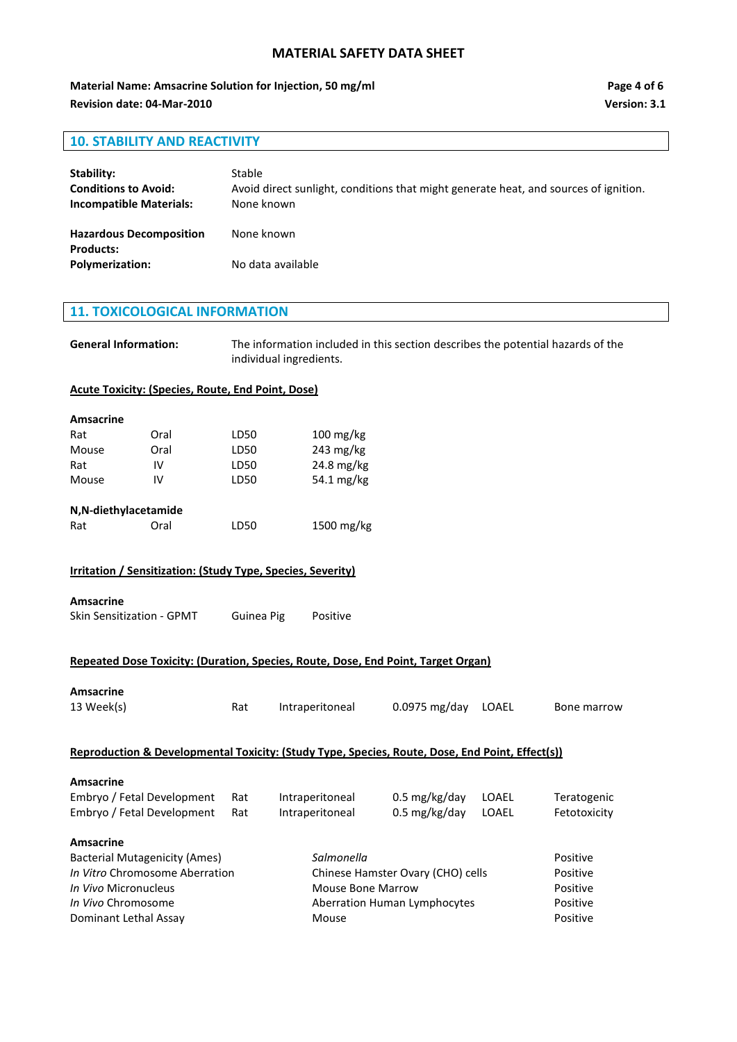**Material Name: Amsacrine Solution for Injection, 50 mg/ml Page 4 of 6** Page 4 of 6 **Revision date: 04-Mar-2010 Version: 3.1**

# **10. STABILITY AND REACTIVITY**

| Stability:<br><b>Conditions to Avoid:</b><br><b>Incompatible Materials:</b> | Stable<br>Avoid direct sunlight, conditions that might generate heat, and sources of ignition.<br>None known |
|-----------------------------------------------------------------------------|--------------------------------------------------------------------------------------------------------------|
| <b>Hazardous Decomposition</b><br><b>Products:</b>                          | None known                                                                                                   |
| <b>Polymerization:</b>                                                      | No data available                                                                                            |

# **11. TOXICOLOGICAL INFORMATION**

**General Information:** The information included in this section describes the potential hazards of the individual ingredients.

#### **Acute Toxicity: (Species, Route, End Point, Dose)**

| <b>Amsacrine</b> |                                                                    |            |                        |
|------------------|--------------------------------------------------------------------|------------|------------------------|
| Rat              | Oral                                                               | LD50       | $100 \,\mathrm{mg/kg}$ |
| Mouse            | Oral                                                               | LD50       | $243 \text{ mg/kg}$    |
| Rat              | IV                                                                 | LD50       | $24.8 \text{ mg/kg}$   |
| Mouse            | IV                                                                 | LD50       | 54.1 $mg/kg$           |
|                  | N,N-diethylacetamide                                               |            |                        |
| Rat              | Oral                                                               | LD50       | $1500 \text{ mg/kg}$   |
|                  | <b>Irritation / Sensitization: (Study Type, Species, Severity)</b> |            |                        |
| <b>Amsacrine</b> |                                                                    |            |                        |
|                  | <b>Skin Sensitization - GPMT</b>                                   | Guinea Pig | Positive               |
|                  |                                                                    |            |                        |

# **Repeated Dose Toxicity: (Duration, Species, Route, Dose, End Point, Target Organ)**

| <b>Amsacrine</b><br>13 Week(s)                                                                             | Rat | Intraperitoneal                   | $0.0975$ mg/day            | LOAEL | Bone marrow  |
|------------------------------------------------------------------------------------------------------------|-----|-----------------------------------|----------------------------|-------|--------------|
| <b>Reproduction &amp; Developmental Toxicity: (Study Type, Species, Route, Dose, End Point, Effect(s))</b> |     |                                   |                            |       |              |
| Amsacrine                                                                                                  |     |                                   |                            |       |              |
| Embryo / Fetal Development                                                                                 | Rat | Intraperitoneal                   | $0.5 \,\mathrm{mg/kg/day}$ | LOAEL | Teratogenic  |
| Embryo / Fetal Development                                                                                 | Rat | Intraperitoneal                   | $0.5 \text{ mg/kg/day}$    | LOAEL | Fetotoxicity |
| Amsacrine                                                                                                  |     |                                   |                            |       |              |
| <b>Bacterial Mutagenicity (Ames)</b>                                                                       |     | Salmonella                        |                            |       |              |
| <i>In Vitro</i> Chromosome Aberration                                                                      |     | Chinese Hamster Ovary (CHO) cells |                            |       | Positive     |
| <i>In Vivo</i> Micronucleus                                                                                |     | Mouse Bone Marrow                 |                            |       | Positive     |
| <i>In Vivo</i> Chromosome                                                                                  |     | Aberration Human Lymphocytes      |                            |       | Positive     |
| Dominant Lethal Assay                                                                                      |     | Mouse                             |                            |       |              |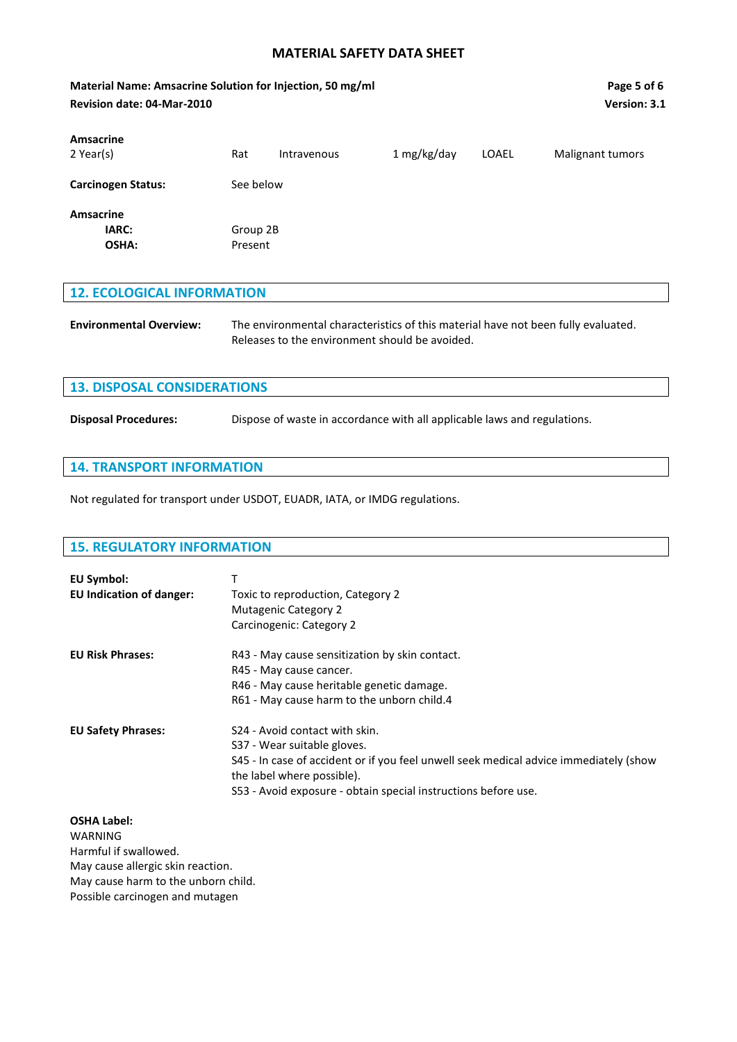**Material Name: Amsacrine Solution for Injection, 50 mg/ml Page 5 of 6 Revision date: 04-Mar-2010 Version: 3.1 Amsacrine** 2 Year(s) Rat Intravenous 1 mg/kg/day LOAEL Malignant tumors **Carcinogen Status:** See below **Amsacrine IARC:** Group 2B **OSHA:** Present **12. ECOLOGICAL INFORMATION Environmental Overview:** The environmental characteristics of this material have not been fully evaluated. Releases to the environment should be avoided.

| <b>13. DISPOSAL CONSIDERATIONS</b> |                                                                          |  |
|------------------------------------|--------------------------------------------------------------------------|--|
| <b>Disposal Procedures:</b>        | Dispose of waste in accordance with all applicable laws and regulations. |  |

#### **14. TRANSPORT INFORMATION**

Not regulated for transport under USDOT, EUADR, IATA, or IMDG regulations.

# **15. REGULATORY INFORMATION EU Symbol:** T **EU Indication of danger:** Toxic to reproduction, Category 2 Mutagenic Category 2 Carcinogenic: Category 2 **EU Risk Phrases:** R43 - May cause sensitization by skin contact. R45 - May cause cancer. R46 - May cause heritable genetic damage. R61 - May cause harm to the unborn child.4 **EU Safety Phrases:** S24 - Avoid contact with skin. S37 - Wear suitable gloves. S45 - In case of accident or if you feel unwell seek medical advice immediately (show the label where possible). S53 - Avoid exposure - obtain special instructions before use.

**OSHA Label:** WARNING Harmful if swallowed. May cause allergic skin reaction. May cause harm to the unborn child. Possible carcinogen and mutagen